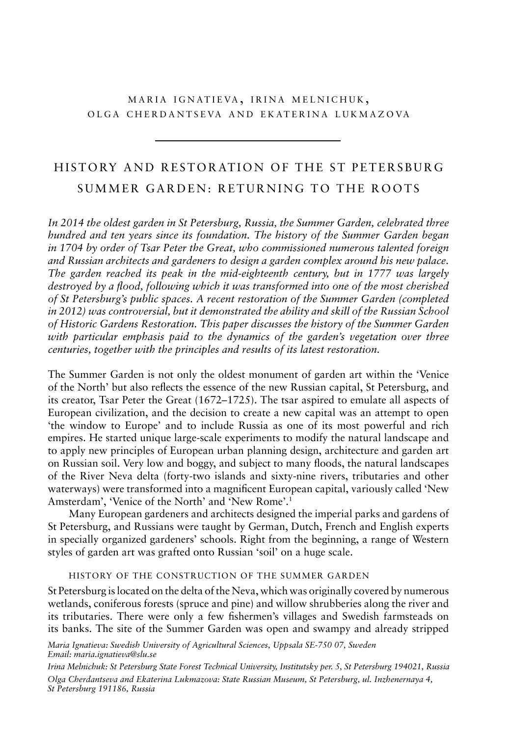## MARIA IGNATIEVA, IRINA MELNICHUK, OLGA CHERDANTSEVA AND EKATERINA LUKMAZOVA

# HISTORY AND RESTORATION OF THE ST PETERSBURG SUMMER GARDEN: RETURNING TO THE ROOTS

*In 2014 the oldest garden in St Petersburg, Russia, the Summer Garden, celebrated three hundred and ten years since its foundation. The history of the Summer Garden began in 1704 by order of Tsar Peter the Great, who commissioned numerous talented foreign and Russian architects and gardeners to design a garden complex around his new palace. The garden reached its peak in the mid-eighteenth century, but in 1777 was largely destroyed by a flood, following which it was transformed into one of the most cherished of St Petersburg's public spaces. A recent restoration of the Summer Garden (completed in 2012) was controversial, but it demonstrated the ability and skill of the Russian School of Historic Gardens Restoration. This paper discusses the history of the Summer Garden with particular emphasis paid to the dynamics of the garden's vegetation over three centuries, together with the principles and results of its latest restoration.*

The Summer Garden is not only the oldest monument of garden art within the 'Venice of the North' but also reflects the essence of the new Russian capital, St Petersburg, and its creator, Tsar Peter the Great  $(1672-1725)$ . The tsar aspired to emulate all aspects of European civilization, and the decision to create a new capital was an attempt to open 'the window to Europe' and to include Russia as one of its most powerful and rich empires. he started unique large-scale experiments to modify the natural landscape and to apply new principles of European urban planning design, architecture and garden art on Russian soil. Very low and boggy, and subject to many floods, the natural landscapes of the river neva delta (forty-two islands and sixty-nine rivers, tributaries and other waterways) were transformed into a magnificent European capital, variously called 'New Amsterdam', 'Venice of the North' and 'New Rome'.<sup>1</sup>

many european gardeners and architects designed the imperial parks and gardens of St Petersburg, and Russians were taught by German, Dutch, French and English experts in specially organized gardeners' schools. Right from the beginning, a range of Western styles of garden art was grafted onto Russian 'soil' on a huge scale.

## history of the construction of the summer garden

St Petersburg is located on the delta of the Neva, which was originally covered by numerous wetlands, coniferous forests (spruce and pine) and willow shrubberies along the river and its tributaries. There were only a few fishermen's villages and Swedish farmsteads on its banks. The site of the Summer Garden was open and swampy and already stripped

*Maria Ignatieva: Swedish University of Agricultural Sciences, Uppsala SE-750 07, Sweden Email: maria.ignatieva@slu.se*

*Irina Melnichuk: St Petersburg State Forest Technical University, Institutsky per. 5, St Petersburg 194021, Russia Olga Cherdantseva and Ekaterina Lukmazova: State Russian Museum, St Petersburg, ul. Inzhenernaya 4, St Petersburg 191186, Russia*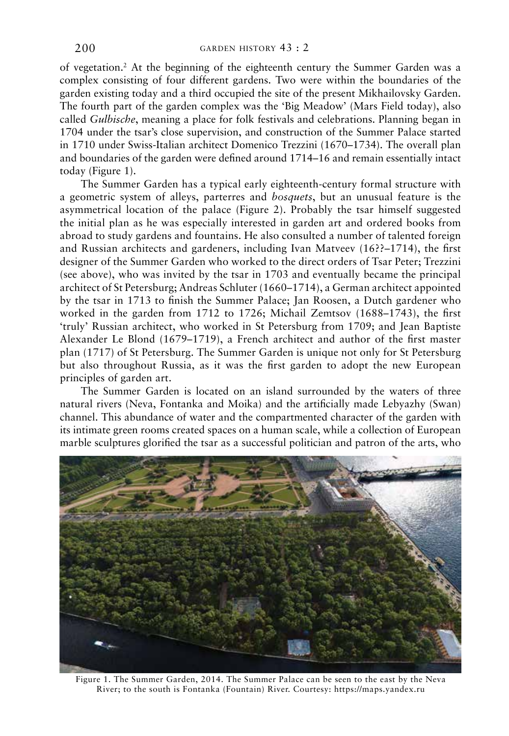of vegetation.<sup>2</sup> At the beginning of the eighteenth century the Summer Garden was a complex consisting of four different gardens. two were within the boundaries of the garden existing today and a third occupied the site of the present mikhailovsky garden. The fourth part of the garden complex was the 'Big Meadow' (Mars Field today), also called *Gulbische*, meaning a place for folk festivals and celebrations. planning began in 1704 under the tsar's close supervision, and construction of the summer palace started in 1710 under Swiss-Italian architect Domenico Trezzini (1670–1734). The overall plan and boundaries of the garden were defined around 1714–16 and remain essentially intact today (figure 1).

The Summer Garden has a typical early eighteenth-century formal structure with a geometric system of alleys, parterres and *bosquets*, but an unusual feature is the asymmetrical location of the palace (figure 2). probably the tsar himself suggested the initial plan as he was especially interested in garden art and ordered books from abroad to study gardens and fountains. He also consulted a number of talented foreign and Russian architects and gardeners, including Ivan Matveev  $(16?) - 1714$ , the first designer of the Summer Garden who worked to the direct orders of Tsar Peter; Trezzini (see above), who was invited by the tsar in 1703 and eventually became the principal architect of St Petersburg; Andreas Schluter  $(1660-1714)$ , a German architect appointed by the tsar in 1713 to finish the Summer Palace; Jan Roosen, a Dutch gardener who worked in the garden from 1712 to 1726; michail Zemtsov (1688–1743), the first 'truly' Russian architect, who worked in St Petersburg from 1709; and Jean Baptiste alexander Le blond (1679–1719), a french architect and author of the first master plan (1717) of St Petersburg. The Summer Garden is unique not only for St Petersburg but also throughout Russia, as it was the first garden to adopt the new European principles of garden art.

The Summer Garden is located on an island surrounded by the waters of three natural rivers (Neva, Fontanka and Moika) and the artificially made Lebyazhy (Swan) channel. this abundance of water and the compartmented character of the garden with its intimate green rooms created spaces on a human scale, while a collection of European marble sculptures glorified the tsar as a successful politician and patron of the arts, who



Figure 1. The Summer Garden, 2014. The Summer Palace can be seen to the east by the Neva River; to the south is Fontanka (Fountain) River. Courtesy: https://maps.yandex.ru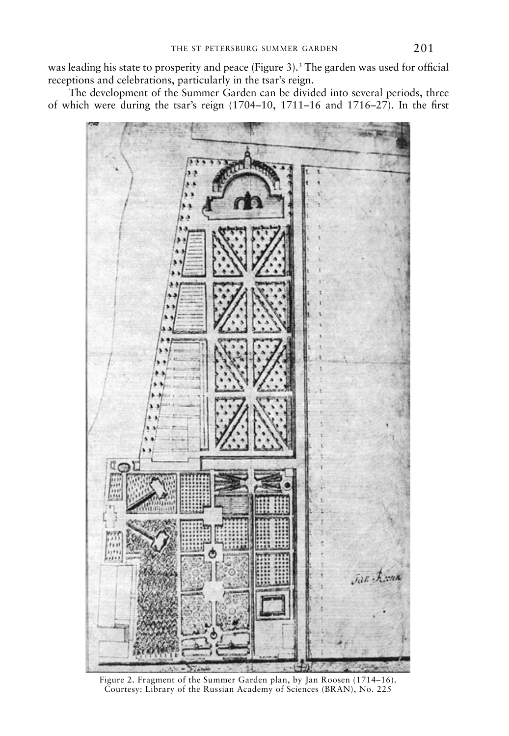was leading his state to prosperity and peace (Figure 3).<sup>3</sup> The garden was used for official receptions and celebrations, particularly in the tsar's reign.

The development of the Summer Garden can be divided into several periods, three of which were during the tsar's reign (1704–10, 1711–16 and 1716–27). in the first



Figure 2. Fragment of the Summer Garden plan, by Jan Roosen (1714-16). Courtesy: Library of the Russian Academy of Sciences (BRAN), No. 225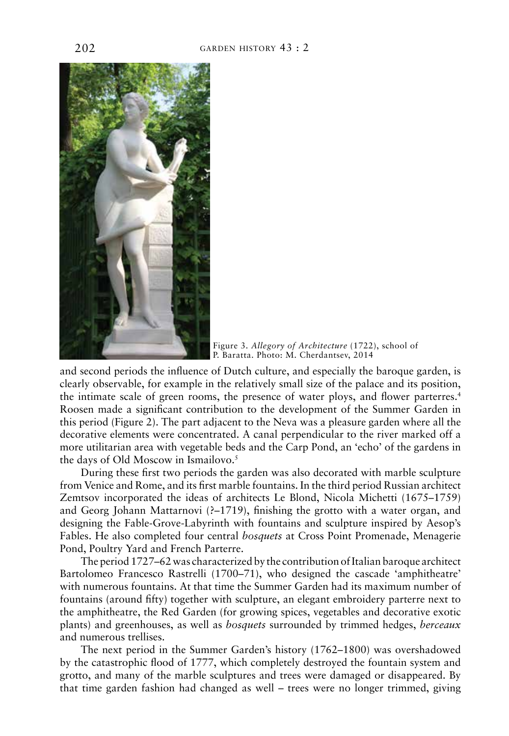

figure 3. *Allegory of Architecture* (1722), school of p. baratta. photo: m. cherdantsev, 2014

and second periods the influence of Dutch culture, and especially the baroque garden, is clearly observable, for example in the relatively small size of the palace and its position, the intimate scale of green rooms, the presence of water ploys, and flower parterres.4 Roosen made a significant contribution to the development of the Summer Garden in this period (Figure 2). The part adjacent to the Neva was a pleasure garden where all the decorative elements were concentrated. a canal perpendicular to the river marked off a more utilitarian area with vegetable beds and the carp pond, an 'echo' of the gardens in the days of Old Moscow in Ismailovo.<sup>5</sup>

During these first two periods the garden was also decorated with marble sculpture from Venice and Rome, and its first marble fountains. In the third period Russian architect Zemtsov incorporated the ideas of architects Le blond, nicola michetti (1675–1759) and Georg Johann Mattarnovi (?-1719), finishing the grotto with a water organ, and designing the Fable-Grove-Labyrinth with fountains and sculpture inspired by Aesop's Fables. He also completed four central *bosquets* at Cross Point Promenade, Menagerie Pond, Poultry Yard and French Parterre.

The period 1727–62 was characterized by the contribution of Italian baroque architect Bartolomeo Francesco Rastrelli (1700–71), who designed the cascade 'amphitheatre' with numerous fountains. At that time the Summer Garden had its maximum number of fountains (around fifty) together with sculpture, an elegant embroidery parterre next to the amphitheatre, the Red Garden (for growing spices, vegetables and decorative exotic plants) and greenhouses, as well as *bosquets* surrounded by trimmed hedges, *berceaux* and numerous trellises.

The next period in the Summer Garden's history (1762–1800) was overshadowed by the catastrophic flood of 1777, which completely destroyed the fountain system and grotto, and many of the marble sculptures and trees were damaged or disappeared. by that time garden fashion had changed as well – trees were no longer trimmed, giving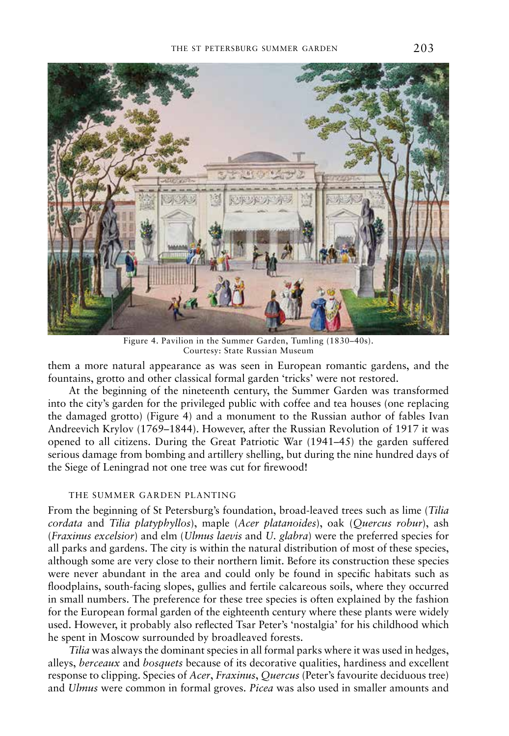

Figure 4. Pavilion in the Summer Garden, Tumling (1830-40s). Courtesy: State Russian Museum

them a more natural appearance as was seen in European romantic gardens, and the fountains, grotto and other classical formal garden 'tricks' were not restored.

At the beginning of the nineteenth century, the Summer Garden was transformed into the city's garden for the privileged public with coffee and tea houses (one replacing the damaged grotto) (Figure 4) and a monument to the Russian author of fables Ivan Andreevich Krylov (1769–1844). However, after the Russian Revolution of 1917 it was opened to all citizens. During the Great Patriotic War  $(1941–45)$  the garden suffered serious damage from bombing and artillery shelling, but during the nine hundred days of the Siege of Leningrad not one tree was cut for firewood!

## the summer garden pLanting

from the beginning of st petersburg's foundation, broad-leaved trees such as lime (*Tilia cordata* and *Tilia platyphyllos*), maple (*Acer platanoides*), oak (*Quercus robur*), ash (*Fraxinus excelsior*) and elm (*Ulmus laevis* and *U. glabra*) were the preferred species for all parks and gardens. The city is within the natural distribution of most of these species, although some are very close to their northern limit. before its construction these species were never abundant in the area and could only be found in specific habitats such as floodplains, south-facing slopes, gullies and fertile calcareous soils, where they occurred in small numbers. the preference for these tree species is often explained by the fashion for the European formal garden of the eighteenth century where these plants were widely used. However, it probably also reflected Tsar Peter's 'nostalgia' for his childhood which he spent in Moscow surrounded by broadleaved forests.

*Tilia* was always the dominant species in all formal parks where it was used in hedges, alleys, *berceaux* and *bosquets* because of its decorative qualities, hardiness and excellent response to clipping. species of *Acer*, *Fraxinus*, *Quercus* (peter's favourite deciduous tree) and *Ulmus* were common in formal groves. *Picea* was also used in smaller amounts and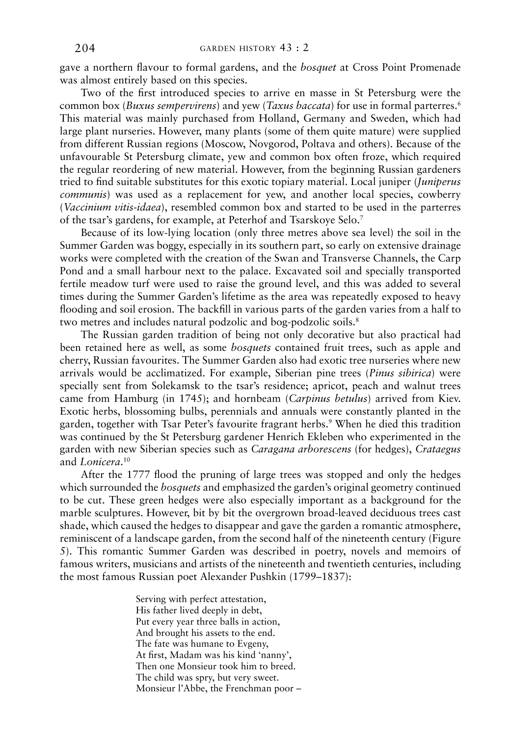gave a northern flavour to formal gardens, and the *bosquet* at Cross Point Promenade was almost entirely based on this species.

Two of the first introduced species to arrive en masse in St Petersburg were the common box (*Buxus sempervirens*) and yew (*Taxus baccata*) for use in formal parterres.6 This material was mainly purchased from Holland, Germany and Sweden, which had large plant nurseries. however, many plants (some of them quite mature) were supplied from different Russian regions (Moscow, Novgorod, Poltava and others). Because of the unfavourable st petersburg climate, yew and common box often froze, which required the regular reordering of new material. However, from the beginning Russian gardeners tried to find suitable substitutes for this exotic topiary material. Local juniper (*Juniperus communis*) was used as a replacement for yew, and another local species, cowberry (*Vaccinium vitis-idaea*), resembled common box and started to be used in the parterres of the tsar's gardens, for example, at Peterhof and Tsarskoye Selo.<sup>7</sup>

because of its low-lying location (only three metres above sea level) the soil in the summer garden was boggy, especially in its southern part, so early on extensive drainage works were completed with the creation of the Swan and Transverse Channels, the Carp Pond and a small harbour next to the palace. Excavated soil and specially transported fertile meadow turf were used to raise the ground level, and this was added to several times during the summer garden's lifetime as the area was repeatedly exposed to heavy flooding and soil erosion. The backfill in various parts of the garden varies from a half to two metres and includes natural podzolic and bog-podzolic soils.<sup>8</sup>

The Russian garden tradition of being not only decorative but also practical had been retained here as well, as some *bosquets* contained fruit trees, such as apple and cherry, Russian favourites. The Summer Garden also had exotic tree nurseries where new arrivals would be acclimatized. for example, siberian pine trees (*Pinus sibirica*) were specially sent from solekamsk to the tsar's residence; apricot, peach and walnut trees came from hamburg (in 1745); and hornbeam (*Carpinus betulus*) arrived from Kiev. Exotic herbs, blossoming bulbs, perennials and annuals were constantly planted in the garden, together with Tsar Peter's favourite fragrant herbs.<sup>9</sup> When he died this tradition was continued by the St Petersburg gardener Henrich Ekleben who experimented in the garden with new siberian species such as *Caragana arborescens* (for hedges), *Crataegus* and *Lonicera*. 10

after the 1777 flood the pruning of large trees was stopped and only the hedges which surrounded the *bosquets* and emphasized the garden's original geometry continued to be cut. these green hedges were also especially important as a background for the marble sculptures. However, bit by bit the overgrown broad-leaved deciduous trees cast shade, which caused the hedges to disappear and gave the garden a romantic atmosphere, reminiscent of a landscape garden, from the second half of the nineteenth century (figure 5). this romantic summer garden was described in poetry, novels and memoirs of famous writers, musicians and artists of the nineteenth and twentieth centuries, including the most famous Russian poet Alexander Pushkin (1799–1837):

> serving with perfect attestation, His father lived deeply in debt, put every year three balls in action, And brought his assets to the end. The fate was humane to Evgeny, At first, Madam was his kind 'nanny', Then one Monsieur took him to breed. The child was spry, but very sweet. Monsieur l'Abbe, the Frenchman poor –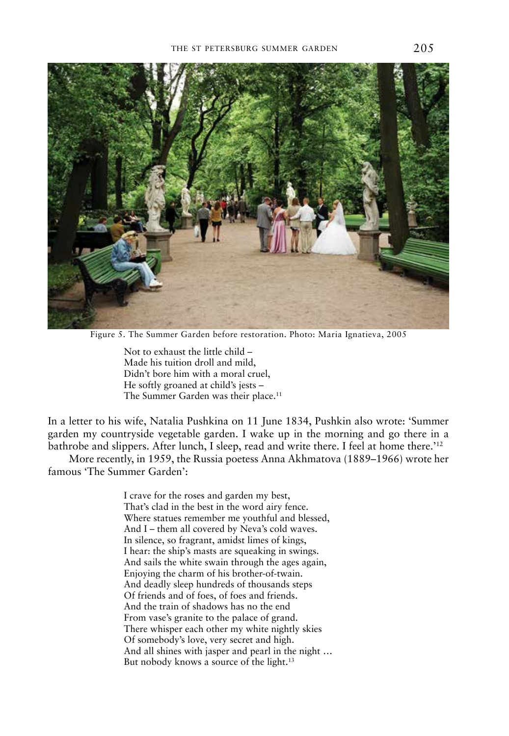

Figure 5. The Summer Garden before restoration. Photo: Maria Ignatieva, 2005

Not to exhaust the little child  $-$ Made his tuition droll and mild, Didn't bore him with a moral cruel, He softly groaned at child's jests -The Summer Garden was their place.<sup>11</sup>

in a letter to his wife, natalia pushkina on 11 June 1834, pushkin also wrote: 'summer garden my countryside vegetable garden. I wake up in the morning and go there in a bathrobe and slippers. After lunch, I sleep, read and write there. I feel at home there.<sup>'12</sup>

More recently, in 1959, the Russia poetess Anna Akhmatova (1889–1966) wrote her famous 'The Summer Garden':

> i crave for the roses and garden my best, That's clad in the best in the word airy fence. Where statues remember me youthful and blessed, And  $I$  – them all covered by Neva's cold waves. In silence, so fragrant, amidst limes of kings, I hear: the ship's masts are squeaking in swings. And sails the white swain through the ages again, Enjoying the charm of his brother-of-twain. And deadly sleep hundreds of thousands steps of friends and of foes, of foes and friends. And the train of shadows has no the end from vase's granite to the palace of grand. There whisper each other my white nightly skies of somebody's love, very secret and high. And all shines with jasper and pearl in the night ... But nobody knows a source of the light.<sup>13</sup>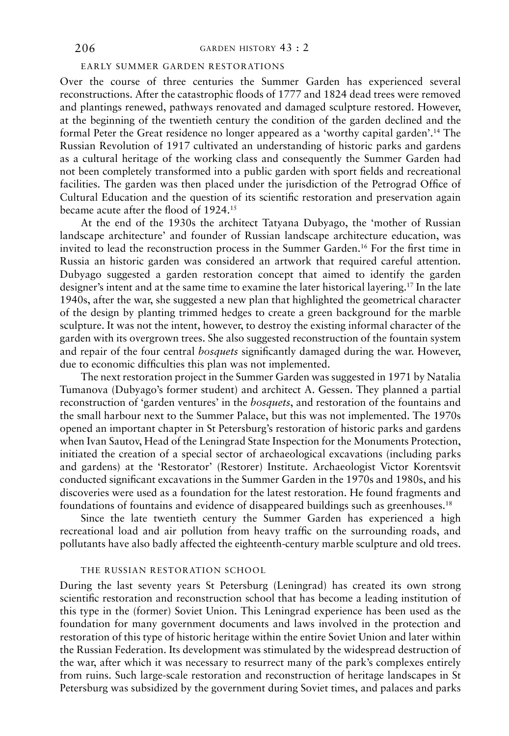## earLy summer garden restorations

Over the course of three centuries the Summer Garden has experienced several reconstructions. after the catastrophic floods of 1777 and 1824 dead trees were removed and plantings renewed, pathways renovated and damaged sculpture restored. however, at the beginning of the twentieth century the condition of the garden declined and the formal Peter the Great residence no longer appeared as a 'worthy capital garden'.<sup>14</sup> The Russian Revolution of 1917 cultivated an understanding of historic parks and gardens as a cultural heritage of the working class and consequently the summer garden had not been completely transformed into a public garden with sport fields and recreational facilities. The garden was then placed under the jurisdiction of the Petrograd Office of cultural education and the question of its scientific restoration and preservation again became acute after the flood of 1924.15

At the end of the 1930s the architect Tatyana Dubyago, the 'mother of Russian landscape architecture' and founder of Russian landscape architecture education, was invited to lead the reconstruction process in the Summer Garden.<sup>16</sup> For the first time in Russia an historic garden was considered an artwork that required careful attention. Dubyago suggested a garden restoration concept that aimed to identify the garden designer's intent and at the same time to examine the later historical layering.<sup>17</sup> In the late 1940s, after the war, she suggested a new plan that highlighted the geometrical character of the design by planting trimmed hedges to create a green background for the marble sculpture. it was not the intent, however, to destroy the existing informal character of the garden with its overgrown trees. she also suggested reconstruction of the fountain system and repair of the four central *bosquets* significantly damaged during the war. however, due to economic difficulties this plan was not implemented.

The next restoration project in the Summer Garden was suggested in 1971 by Natalia Tumanova (Dubyago's former student) and architect A. Gessen. They planned a partial reconstruction of 'garden ventures' in the *bosquets*, and restoration of the fountains and the small harbour next to the summer palace, but this was not implemented. the 1970s opened an important chapter in st petersburg's restoration of historic parks and gardens when Ivan Sautov, Head of the Leningrad State Inspection for the Monuments Protection, initiated the creation of a special sector of archaeological excavations (including parks and gardens) at the 'Restorator' (Restorer) Institute. Archaeologist Victor Korentsvit conducted significant excavations in the summer garden in the 1970s and 1980s, and his discoveries were used as a foundation for the latest restoration. he found fragments and foundations of fountains and evidence of disappeared buildings such as greenhouses.<sup>18</sup>

Since the late twentieth century the Summer Garden has experienced a high recreational load and air pollution from heavy traffic on the surrounding roads, and pollutants have also badly affected the eighteenth-century marble sculpture and old trees.

### the russian restoration schooL

During the last seventy years St Petersburg (Leningrad) has created its own strong scientific restoration and reconstruction school that has become a leading institution of this type in the (former) Soviet Union. This Leningrad experience has been used as the foundation for many government documents and laws involved in the protection and restoration of this type of historic heritage within the entire Soviet Union and later within the Russian Federation. Its development was stimulated by the widespread destruction of the war, after which it was necessary to resurrect many of the park's complexes entirely from ruins. such large-scale restoration and reconstruction of heritage landscapes in st petersburg was subsidized by the government during soviet times, and palaces and parks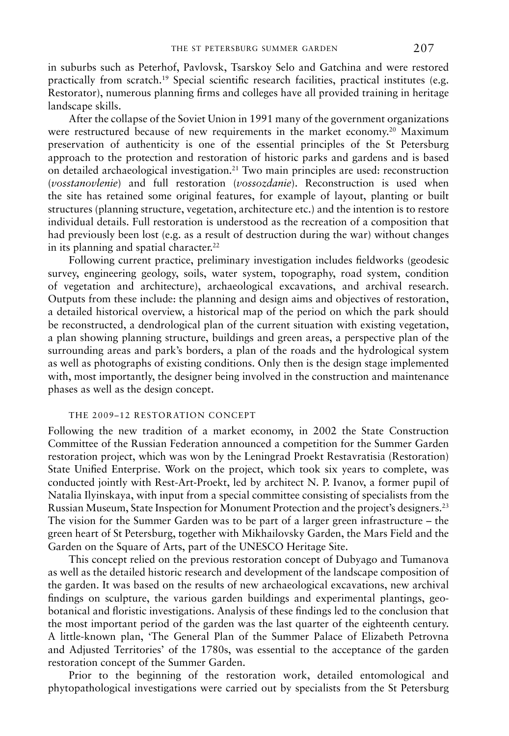in suburbs such as peterhof, pavlovsk, tsarskoy selo and gatchina and were restored practically from scratch.<sup>19</sup> Special scientific research facilities, practical institutes (e.g. Restorator), numerous planning firms and colleges have all provided training in heritage landscape skills.

After the collapse of the Soviet Union in 1991 many of the government organizations were restructured because of new requirements in the market economy.<sup>20</sup> Maximum preservation of authenticity is one of the essential principles of the st petersburg approach to the protection and restoration of historic parks and gardens and is based on detailed archaeological investigation.21 two main principles are used: reconstruction (*vosstanovlenie*) and full restoration (*vossozdanie*). Reconstruction is used when the site has retained some original features, for example of layout, planting or built structures (planning structure, vegetation, architecture etc.) and the intention is to restore individual details. full restoration is understood as the recreation of a composition that had previously been lost (e.g. as a result of destruction during the war) without changes in its planning and spatial character.<sup>22</sup>

following current practice, preliminary investigation includes fieldworks (geodesic survey, engineering geology, soils, water system, topography, road system, condition of vegetation and architecture), archaeological excavations, and archival research. outputs from these include: the planning and design aims and objectives of restoration, a detailed historical overview, a historical map of the period on which the park should be reconstructed, a dendrological plan of the current situation with existing vegetation, a plan showing planning structure, buildings and green areas, a perspective plan of the surrounding areas and park's borders, a plan of the roads and the hydrological system as well as photographs of existing conditions. only then is the design stage implemented with, most importantly, the designer being involved in the construction and maintenance phases as well as the design concept.

## the 2009–12 restoration concept

Following the new tradition of a market economy, in 2002 the State Construction Committee of the Russian Federation announced a competition for the Summer Garden restoration project, which was won by the Leningrad Proekt Restavratisia (Restoration) State Unified Enterprise. Work on the project, which took six years to complete, was conducted jointly with Rest-Art-Proekt, led by architect N. P. Ivanov, a former pupil of Natalia Ilyinskaya, with input from a special committee consisting of specialists from the Russian Museum, State Inspection for Monument Protection and the project's designers.<sup>23</sup> The vision for the Summer Garden was to be part of a larger green infrastructure – the green heart of st petersburg, together with mikhailovsky garden, the mars field and the Garden on the Square of Arts, part of the UNESCO Heritage Site.

This concept relied on the previous restoration concept of Dubyago and Tumanova as well as the detailed historic research and development of the landscape composition of the garden. it was based on the results of new archaeological excavations, new archival findings on sculpture, the various garden buildings and experimental plantings, geobotanical and floristic investigations. Analysis of these findings led to the conclusion that the most important period of the garden was the last quarter of the eighteenth century. a little-known plan, 'the general plan of the summer palace of elizabeth petrovna and adjusted territories' of the 1780s, was essential to the acceptance of the garden restoration concept of the Summer Garden.

prior to the beginning of the restoration work, detailed entomological and phytopathological investigations were carried out by specialists from the St Petersburg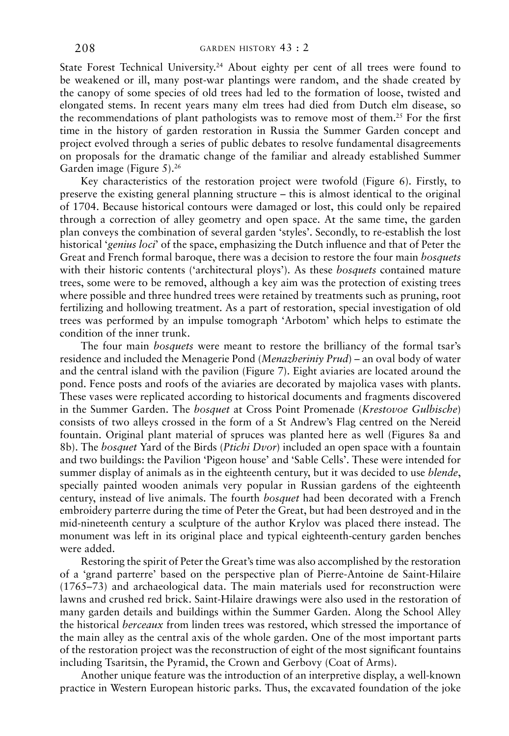State Forest Technical University.<sup>24</sup> About eighty per cent of all trees were found to be weakened or ill, many post-war plantings were random, and the shade created by the canopy of some species of old trees had led to the formation of loose, twisted and elongated stems. In recent years many elm trees had died from Dutch elm disease, so the recommendations of plant pathologists was to remove most of them.25 for the first time in the history of garden restoration in Russia the Summer Garden concept and project evolved through a series of public debates to resolve fundamental disagreements on proposals for the dramatic change of the familiar and already established summer Garden image (Figure 5).<sup>26</sup>

Key characteristics of the restoration project were twofold (figure 6). firstly, to preserve the existing general planning structure – this is almost identical to the original of 1704. because historical contours were damaged or lost, this could only be repaired through a correction of alley geometry and open space. at the same time, the garden plan conveys the combination of several garden 'styles'. secondly, to re-establish the lost historical '*genius loci*' of the space, emphasizing the Dutch influence and that of Peter the Great and French formal baroque, there was a decision to restore the four main *bosquets* with their historic contents ('architectural ploys'). As these *bosquets* contained mature trees, some were to be removed, although a key aim was the protection of existing trees where possible and three hundred trees were retained by treatments such as pruning, root fertilizing and hollowing treatment. As a part of restoration, special investigation of old trees was performed by an impulse tomograph 'Arbotom' which helps to estimate the condition of the inner trunk.

the four main *bosquets* were meant to restore the brilliancy of the formal tsar's residence and included the Menagerie Pond (*Menazheriniy Prud*) – an oval body of water and the central island with the pavilion (Figure 7). Eight aviaries are located around the pond. fence posts and roofs of the aviaries are decorated by majolica vases with plants. These vases were replicated according to historical documents and fragments discovered in the summer garden. the *bosquet* at cross point promenade (*Krestovoe Gulbische*) consists of two alleys crossed in the form of a St Andrew's Flag centred on the Nereid fountain. original plant material of spruces was planted here as well (figures 8a and 8b). the *bosquet* yard of the birds (*Ptichi Dvor*) included an open space with a fountain and two buildings: the Pavilion 'Pigeon house' and 'Sable Cells'. These were intended for summer display of animals as in the eighteenth century, but it was decided to use *blende*, specially painted wooden animals very popular in Russian gardens of the eighteenth century, instead of live animals. the fourth *bosquet* had been decorated with a french embroidery parterre during the time of Peter the Great, but had been destroyed and in the mid-nineteenth century a sculpture of the author Krylov was placed there instead. the monument was left in its original place and typical eighteenth-century garden benches were added.

Restoring the spirit of Peter the Great's time was also accomplished by the restoration of a 'grand parterre' based on the perspective plan of pierre-antoine de saint-hilaire  $(1765-73)$  and archaeological data. The main materials used for reconstruction were lawns and crushed red brick. saint-hilaire drawings were also used in the restoration of many garden details and buildings within the Summer Garden. Along the School Alley the historical *berceaux* from linden trees was restored, which stressed the importance of the main alley as the central axis of the whole garden. one of the most important parts of the restoration project was the reconstruction of eight of the most significant fountains including Tsaritsin, the Pyramid, the Crown and Gerbovy (Coat of Arms).

another unique feature was the introduction of an interpretive display, a well-known practice in Western European historic parks. Thus, the excavated foundation of the joke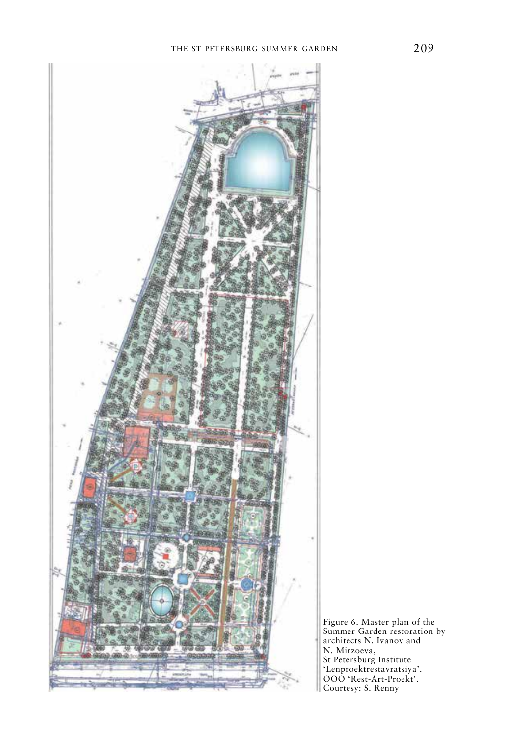

figure 6. master plan of the Summer Garden restoration by architects N. Ivanov and N. Mirzoeva, St Petersburg Institute 'Lenproektrestavratsiya'. OOO 'Rest-Art-Proekt'. Courtesy: S. Renny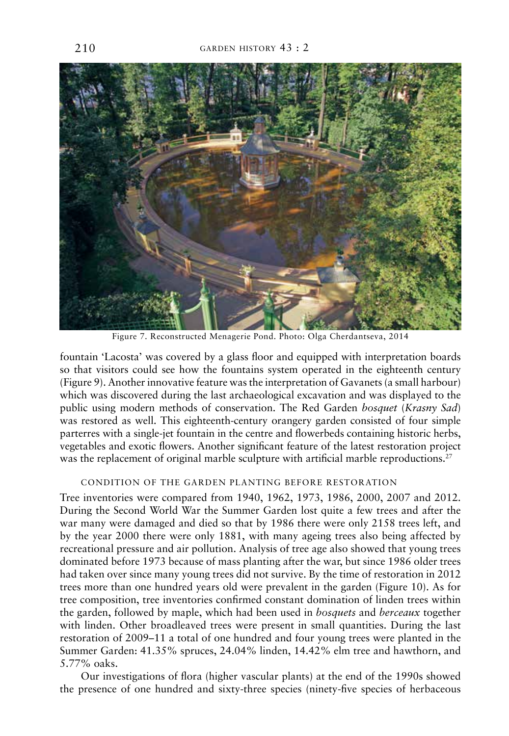![](_page_11_Picture_1.jpeg)

Figure 7. Reconstructed Menagerie Pond. Photo: Olga Cherdantseva, 2014

fountain 'Lacosta' was covered by a glass floor and equipped with interpretation boards so that visitors could see how the fountains system operated in the eighteenth century (figure 9). another innovative feature was the interpretation of gavanets (a small harbour) which was discovered during the last archaeological excavation and was displayed to the public using modern methods of conservation. the red garden *bosquet* (*Krasny Sad*) was restored as well. This eighteenth-century orangery garden consisted of four simple parterres with a single-jet fountain in the centre and flowerbeds containing historic herbs, vegetables and exotic flowers. another significant feature of the latest restoration project was the replacement of original marble sculpture with artificial marble reproductions.<sup>27</sup>

## condition of the garden pLanting before restoration

Tree inventories were compared from 1940, 1962, 1973, 1986, 2000, 2007 and 2012. During the Second World War the Summer Garden lost quite a few trees and after the war many were damaged and died so that by 1986 there were only 2158 trees left, and by the year 2000 there were only 1881, with many ageing trees also being affected by recreational pressure and air pollution. Analysis of tree age also showed that young trees dominated before 1973 because of mass planting after the war, but since 1986 older trees had taken over since many young trees did not survive. by the time of restoration in 2012 trees more than one hundred years old were prevalent in the garden (Figure 10). As for tree composition, tree inventories confirmed constant domination of linden trees within the garden, followed by maple, which had been used in *bosquets* and *berceaux* together with linden. Other broadleaved trees were present in small quantities. During the last restoration of 2009–11 a total of one hundred and four young trees were planted in the summer garden: 41.35% spruces, 24.04% linden, 14.42% elm tree and hawthorn, and 5.77% oaks.

Our investigations of flora (higher vascular plants) at the end of the 1990s showed the presence of one hundred and sixty-three species (ninety-five species of herbaceous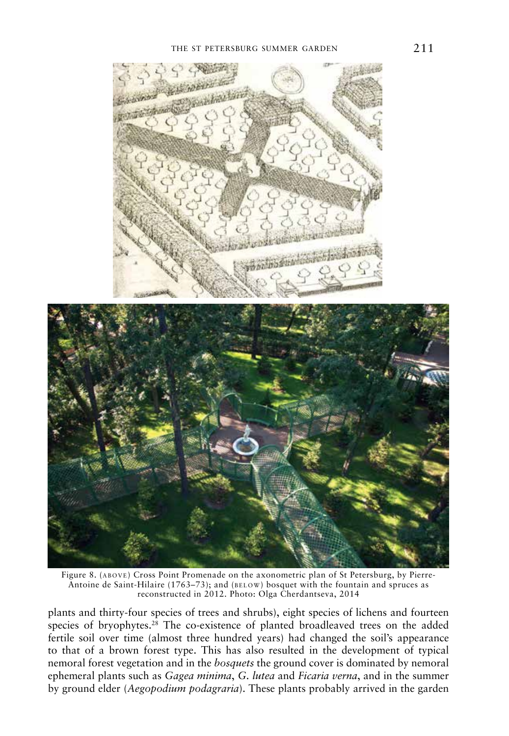![](_page_12_Picture_1.jpeg)

![](_page_12_Picture_2.jpeg)

Figure 8. (ABOVE) Cross Point Promenade on the axonometric plan of St Petersburg, by Pierre-Antoine de Saint-Hilaire (1763–73); and (BELOW) bosquet with the fountain and spruces as reconstructed in 2012. Photo: Olga Cherdantseva, 2014

plants and thirty-four species of trees and shrubs), eight species of lichens and fourteen species of bryophytes.<sup>28</sup> The co-existence of planted broadleaved trees on the added fertile soil over time (almost three hundred years) had changed the soil's appearance to that of a brown forest type. This has also resulted in the development of typical nemoral forest vegetation and in the *bosquets* the ground cover is dominated by nemoral ephemeral plants such as *Gagea minima*, *G. lutea* and *Ficaria verna*, and in the summer by ground elder (*Aegopodium podagraria*). these plants probably arrived in the garden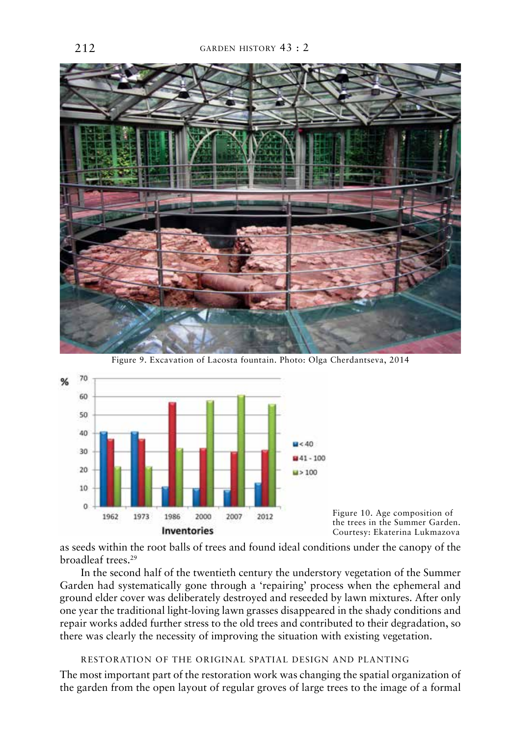![](_page_13_Picture_1.jpeg)

Figure 9. Excavation of Lacosta fountain. Photo: Olga Cherdantseva, 2014

![](_page_13_Figure_3.jpeg)

figure 10. age composition of the trees in the Summer Garden. Courtesy: Ekaterina Lukmazova

as seeds within the root balls of trees and found ideal conditions under the canopy of the broadleaf trees.29

In the second half of the twentieth century the understory vegetation of the Summer Garden had systematically gone through a 'repairing' process when the ephemeral and ground elder cover was deliberately destroyed and reseeded by lawn mixtures. after only one year the traditional light-loving lawn grasses disappeared in the shady conditions and repair works added further stress to the old trees and contributed to their degradation, so there was clearly the necessity of improving the situation with existing vegetation.

```
restoration of the originaL spatiaL design and pLanting
```
The most important part of the restoration work was changing the spatial organization of the garden from the open layout of regular groves of large trees to the image of a formal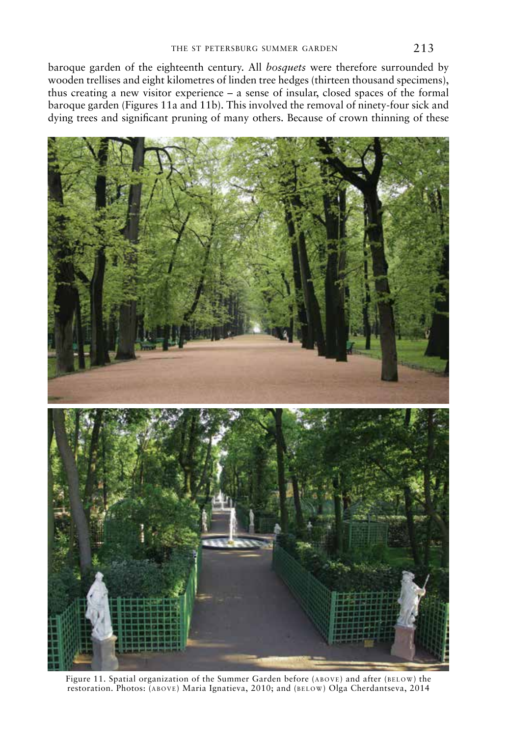baroque garden of the eighteenth century. all *bosquets* were therefore surrounded by wooden trellises and eight kilometres of linden tree hedges (thirteen thousand specimens), thus creating a new visitor experience – a sense of insular, closed spaces of the formal baroque garden (Figures 11a and 11b). This involved the removal of ninety-four sick and dying trees and significant pruning of many others. because of crown thinning of these

![](_page_14_Picture_2.jpeg)

Figure 11. Spatial organization of the Summer Garden before (ABOVE) and after (BELOW) the restoration. Photos: (ABOVE) Maria Ignatieva, 2010; and (BELOW) Olga Cherdantseva, 2014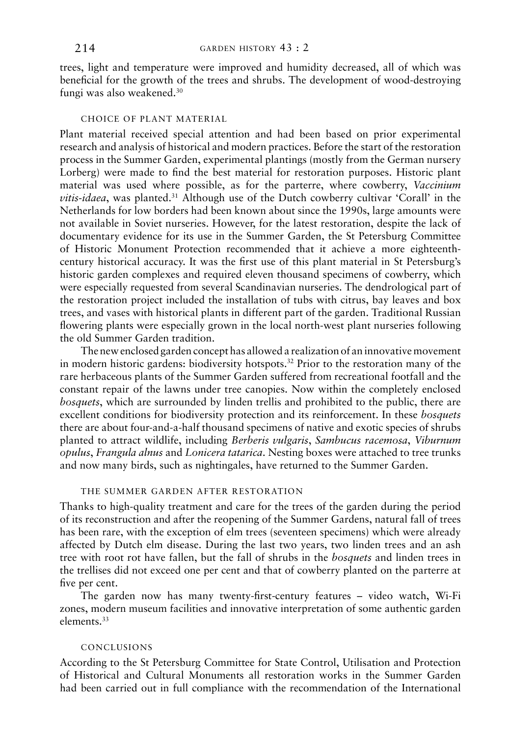trees, light and temperature were improved and humidity decreased, all of which was beneficial for the growth of the trees and shrubs. the development of wood-destroying fungi was also weakened.30

## choice of pLant materiaL

plant material received special attention and had been based on prior experimental research and analysis of historical and modern practices. before the start of the restoration process in the summer garden, experimental plantings (mostly from the german nursery Lorberg) were made to find the best material for restoration purposes. Historic plant material was used where possible, as for the parterre, where cowberry, *Vaccinium vitis-idaea*, was planted.<sup>31</sup> Although use of the Dutch cowberry cultivar 'Corall' in the Netherlands for low borders had been known about since the 1990s, large amounts were not available in soviet nurseries. however, for the latest restoration, despite the lack of documentary evidence for its use in the Summer Garden, the St Petersburg Committee of historic monument protection recommended that it achieve a more eighteenthcentury historical accuracy. it was the first use of this plant material in st petersburg's historic garden complexes and required eleven thousand specimens of cowberry, which were especially requested from several scandinavian nurseries. the dendrological part of the restoration project included the installation of tubs with citrus, bay leaves and box trees, and vases with historical plants in different part of the garden. Traditional Russian flowering plants were especially grown in the local north-west plant nurseries following the old Summer Garden tradition.

The new enclosed garden concept has allowed a realization of an innovative movement in modern historic gardens: biodiversity hotspots.<sup>32</sup> Prior to the restoration many of the rare herbaceous plants of the summer garden suffered from recreational footfall and the constant repair of the lawns under tree canopies. Now within the completely enclosed *bosquets*, which are surrounded by linden trellis and prohibited to the public, there are excellent conditions for biodiversity protection and its reinforcement. in these *bosquets* there are about four-and-a-half thousand specimens of native and exotic species of shrubs planted to attract wildlife, including *Berberis vulgaris*, *Sambucus racemosa*, *Viburnum opulus*, *Frangula alnus* and *Lonicera tatarica*. nesting boxes were attached to tree trunks and now many birds, such as nightingales, have returned to the Summer Garden.

### the summer garden after restoration

Thanks to high-quality treatment and care for the trees of the garden during the period of its reconstruction and after the reopening of the summer gardens, natural fall of trees has been rare, with the exception of elm trees (seventeen specimens) which were already affected by Dutch elm disease. During the last two years, two linden trees and an ash tree with root rot have fallen, but the fall of shrubs in the *bosquets* and linden trees in the trellises did not exceed one per cent and that of cowberry planted on the parterre at five per cent.

The garden now has many twenty-first-century features - video watch, Wi-Fi zones, modern museum facilities and innovative interpretation of some authentic garden elements<sup>33</sup>

## concLusions

According to the St Petersburg Committee for State Control, Utilisation and Protection of historical and cultural monuments all restoration works in the summer garden had been carried out in full compliance with the recommendation of the International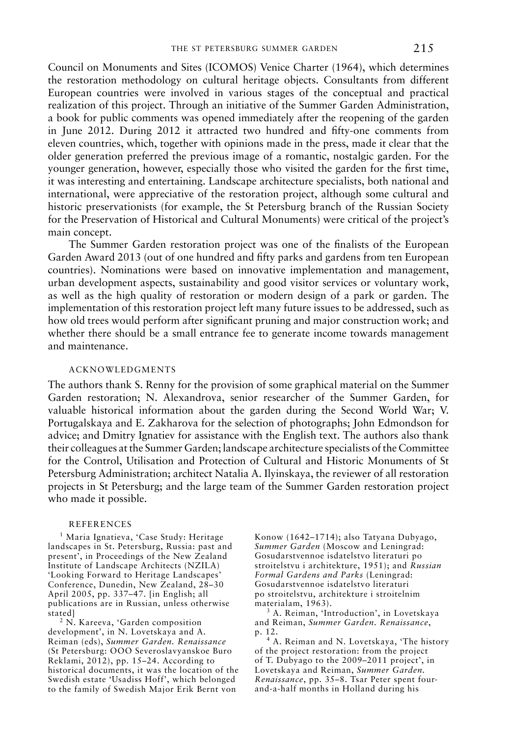council on monuments and sites (icomos) Venice charter (1964), which determines the restoration methodology on cultural heritage objects. consultants from different European countries were involved in various stages of the conceptual and practical realization of this project. Through an initiative of the Summer Garden Administration, a book for public comments was opened immediately after the reopening of the garden in June 2012. During 2012 it attracted two hundred and fifty-one comments from eleven countries, which, together with opinions made in the press, made it clear that the older generation preferred the previous image of a romantic, nostalgic garden. for the younger generation, however, especially those who visited the garden for the first time, it was interesting and entertaining. Landscape architecture specialists, both national and international, were appreciative of the restoration project, although some cultural and historic preservationists (for example, the St Petersburg branch of the Russian Society for the preservation of historical and cultural monuments) were critical of the project's main concept.

The Summer Garden restoration project was one of the finalists of the European Garden Award 2013 (out of one hundred and fifty parks and gardens from ten European countries). Nominations were based on innovative implementation and management, urban development aspects, sustainability and good visitor services or voluntary work, as well as the high quality of restoration or modern design of a park or garden. the implementation of this restoration project left many future issues to be addressed, such as how old trees would perform after significant pruning and major construction work; and whether there should be a small entrance fee to generate income towards management and maintenance.

## acKnoWLedgments

The authors thank S. Renny for the provision of some graphical material on the Summer Garden restoration; N. Alexandrova, senior researcher of the Summer Garden, for valuable historical information about the garden during the second World War; V. Portugalskaya and E. Zakharova for the selection of photographs; John Edmondson for advice; and Dmitry Ignatiev for assistance with the English text. The authors also thank their colleagues at the summer garden; landscape architecture specialists of the committee for the Control, Utilisation and Protection of Cultural and Historic Monuments of St Petersburg Administration; architect Natalia A. Ilyinskaya, the reviewer of all restoration projects in st petersburg; and the large team of the summer garden restoration project who made it possible.

### **REFERENCES**

<sup>1</sup> Maria Ignatieva, 'Case Study: Heritage landscapes in St. Petersburg, Russia: past and present<sup>7</sup>, in Proceedings of the New Zealand Institute of Landscape Architects (NZILA) 'Looking Forward to Heritage Landscapes' Conference, Dunedin, New Zealand, 28-30 April 2005, pp. 337-47. [in English; all publications are in Russian, unless otherwise stated]

<sup>2</sup> N. Kareeva, 'Garden composition development', in N. Lovetskaya and A. reiman (eds), *Summer Garden. Renaissance* (st petersburg: ooo severoslavyanskoe buro Reklami,  $2012$ ), pp. 15–24. According to historical documents, it was the location of the Swedish estate 'Usadiss Hoff', which belonged to the family of swedish major erik bernt von

Konow (1642-1714); also Tatyana Dubyago, **Summer Garden** (Moscow and Leningrad: gosudarstvennoe isdatelstvo literaturi po stroitelstvu i architekture, 1951); and *Russian Formal Gardens and Parks* (Leningrad: gosudarstvennoe isdatelstvo literaturi po stroitelstvu, architekture i stroitelnim materialam, 1963).

<sup>3</sup> A. Reiman, 'Introduction', in Lovetskaya and Reiman, *Summer Garden*. Renaissance, p. 12.

<sup>4</sup> A. Reiman and N. Lovetskaya, 'The history of the project restoration: from the project of T. Dubyago to the 2009–2011 project', in Lovetskaya and Reiman, *Summer Garden*. *Renaissance*, pp. 35-8. Tsar Peter spent fourand-a-half months in Holland during his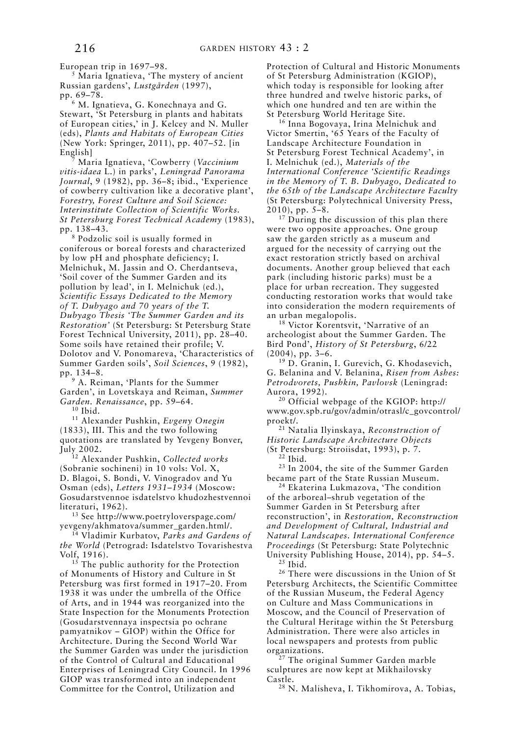European trip in 1697-98.

 $<sup>5</sup>$  Maria Ignatieva, 'The mystery of ancient</sup> russian gardens', *Lustgården* (1997), pp. 69–78.

<sup>6</sup> M. Ignatieva, G. Konechnaya and G. stewart, 'st petersburg in plants and habitats of European cities,' in J. Kelcey and N. Muller (eds), *Plants and Habitats of European Cities* (New York: Springer, 2011), pp. 407-52. [in English]

7 maria ignatieva, 'cowberry (*Vaccinium vitis-idaea* L.) in parks', *Leningrad Panorama*  Journal, 9 (1982), pp. 36-8; ibid., 'Experience of cowberry cultivation like a decorative plant', *Forestry, Forest Culture and Soil Science: Interinstitute Collection of Scientific Works. St Petersburg Forest Technical Academy* (1983), pp. 138–43.

8 podzolic soil is usually formed in coniferous or boreal forests and characterized by low pH and phosphate deficiency; I. Melnichuk, M. Jassin and O. Cherdantseva, 'soil cover of the summer garden and its pollution by lead', in I. Melnichuk (ed.), *Scientific Essays Dedicated to the Memory of T. Dubyago and 70 years of the T. Dubyago Thesis 'The Summer Garden and its Restoration'* (st petersburg: st petersburg state Forest Technical University, 2011), pp. 28-40. some soils have retained their profile; V. Dolotov and V. Ponomareva, 'Characteristics of summer garden soils', *Soil Sciences*, 9 (1982), pp. 134–8.

<sup>9</sup> A. Reiman, 'Plants for the Summer Garden', in Lovetskaya and Reiman, *Summer Garden. Renaissance*, pp. 59–64.

 $10$  Ibid.

11 alexander pushkin, *Evgeny Onegin* (1833), III. This and the two following quotations are translated by yevgeny bonver, July 2002.

12 alexander pushkin, *Collected works* (sobranie sochineni) in 10 vols: Vol. X, D. Blagoi, S. Bondi, V. Vinogradov and Yu osman (eds), *Letters 1931–1934* (moscow: gosudarstvennoe isdatelstvo khudozhestvennoi literaturi, 1962).

13 see http://www.poetryloverspage.com/ yevgeny/akhmatova/summer\_garden.html/.

14 Vladimir Kurbatov, *Parks and Gardens of*  the World (Petrograd: Isdatelstvo Tovarishestva Volf, 1916).

<sup>15</sup> The public authority for the Protection of Monuments of History and Culture in St petersburg was first formed in 1917–20. from 1938 it was under the umbrella of the office of arts, and in 1944 was reorganized into the State Inspection for the Monuments Protection (gosudarstvennaya inspectsia po ochrane  $p$ amyatnikov – GIOP) within the Office for Architecture. During the Second World War the summer garden was under the jurisdiction of the Control of Cultural and Educational Enterprises of Leningrad City Council. In 1996 GIOP was transformed into an independent Committee for the Control, Utilization and

Protection of Cultural and Historic Monuments of st petersburg administration (Kgiop), which today is responsible for looking after three hundred and twelve historic parks, of which one hundred and ten are within the st petersburg World heritage site.

<sup>16</sup> Inna Bogovaya, Irina Melnichuk and Victor smertin, '65 years of the faculty of Landscape Architecture Foundation in St Petersburg Forest Technical Academy', in i. melnichuk (ed.), *Materials of the International Conference 'Scientific Readings in the Memory of T. B. Dubyago, Dedicated to the 65th of the Landscape Architecture Faculty*  (St Petersburg: Polytechnical University Press, 2010), pp. 5–8.

 $17$  During the discussion of this plan there were two opposite approaches. One group saw the garden strictly as a museum and argued for the necessity of carrying out the exact restoration strictly based on archival documents. Another group believed that each park (including historic parks) must be a place for urban recreation. They suggested conducting restoration works that would take into consideration the modern requirements of an urban megalopolis.

<sup>18</sup> Victor Korentsvit, 'Narrative of an archeologist about the Summer Garden. The bird pond', *History of St Petersburg*, 6/22 (2004), pp. 3–6.

<sup>19</sup> D. Granin, I. Gurevich, G. Khodasevich, g. belanina and V. belanina, *Risen from Ashes: Petrodvorets, Pushkin, Pavlovsk* (Leningrad: Aurora, 1992).

<sup>20</sup> Official webpage of the KGIOP: http:// www.gov.spb.ru/gov/admin/otrasl/c\_govcontrol/ proekt/.

21 natalia ilyinskaya, *Reconstruction of Historic Landscape Architecture Objects* (st petersburg: stroiisdat, 1993), p. 7.

 $22$  Ibid.

<sup>23</sup> In 2004, the site of the Summer Garden became part of the State Russian Museum.

<sup>24</sup> Ekaterina Lukmazova, 'The condition of the arboreal–shrub vegetation of the summer garden in st petersburg after reconstruction', in *Restoration, Reconstruction and Development of Cultural, Industrial and Natural Landscapes. International Conference*  Proceedings (St Petersburg: State Polytechnic University Publishing House, 2014), pp. 54–5.<br><sup>25</sup> Ibid.

<sup>26</sup> There were discussions in the Union of St Petersburg Architects, the Scientific Committee of the Russian Museum, the Federal Agency on culture and mass communications in moscow, and the council of preservation of the Cultural Heritage within the St Petersburg Administration. There were also articles in local newspapers and protests from public organizations.

<sup>27</sup> The original Summer Garden marble sculptures are now kept at Mikhailovsky

castle. 28 n. malisheva, i. tikhomirova, a. tobias,